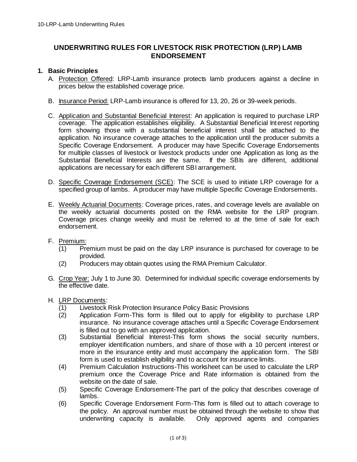# **UNDERWRITING RULES FOR LIVESTOCK RISK PROTECTION (LRP) LAMB ENDORSEMENT**

## **1. Basic Principles**

- A. Protection Offered: LRP-Lamb insurance protects lamb producers against a decline in prices below the established coverage price.
- B. Insurance Period: LRP-Lamb insurance is offered for 13, 20, 26 or 39-week periods.
- C. Application and Substantial Beneficial Interest: An application is required to purchase LRP coverage. The application establishes eligibility. A Substantial Beneficial Interest reporting form showing those with a substantial beneficial interest shall be attached to the application. No insurance coverage attaches to the application until the producer submits a Specific Coverage Endorsement. A producer may have Specific Coverage Endorsements for multiple classes of livestock or livestock products under one Application as long as the Substantial Beneficial Interests are the same. If the SBIs are different, additional applications are necessary for each different SBI arrangement.
- D. Specific Coverage Endorsement (SCE): The SCE is used to initiate LRP coverage for a specified group of lambs. A producer may have multiple Specific Coverage Endorsements.
- E. Weekly Actuarial Documents: Coverage prices, rates, and coverage levels are available on the weekly actuarial documents posted on the RMA website for the LRP program. Coverage prices change weekly and must be referred to at the time of sale for each endorsement.
- F. Premium:
	- (1) Premium must be paid on the day LRP insurance is purchased for coverage to be provided.
	- (2) Producers may obtain quotes using the RMA Premium Calculator.
- G. Crop Year: July 1 to June 30. Determined for individual specific coverage endorsements by the effective date.

#### H. LRP Documents:

- (1) Livestock Risk Protection Insurance Policy Basic Provisions
- (2) Application Form-This form is filled out to apply for eligibility to purchase LRP insurance. No insurance coverage attaches until a Specific Coverage Endorsement is filled out to go with an approved application.
- (3) Substantial Beneficial Interest-This form shows the social security numbers, employer identification numbers, and share of those with a 10 percent interest or more in the insurance entity and must accompany the application form. The SBI form is used to establish eligibility and to account for insurance limits.
- (4) Premium Calculation Instructions-This worksheet can be used to calculate the LRP premium once the Coverage Price and Rate information is obtained from the website on the date of sale.
- (5) Specific Coverage Endorsement-The part of the policy that describes coverage of lambs.
- (6) Specific Coverage Endorsement Form-This form is filled out to attach coverage to the policy. An approval number must be obtained through the website to show that underwriting capacity is available. Only approved agents and companies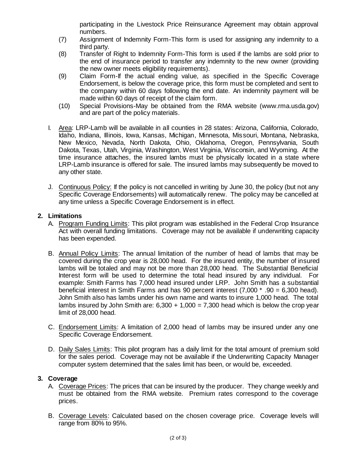participating in the Livestock Price Reinsurance Agreement may obtain approval numbers.

- (7) Assignment of Indemnity Form-This form is used for assigning any indemnity to a third party.
- (8) Transfer of Right to Indemnity Form-This form is used if the lambs are sold prior to the end of insurance period to transfer any indemnity to the new owner (providing the new owner meets eligibility requirements).
- (9) Claim Form-If the actual ending value, as specified in the Specific Coverage Endorsement, is below the coverage price, this form must be completed and sent to the company within 60 days following the end date. An indemnity payment will be made within 60 days of receipt of the claim form.
- (10) Special Provisions-May be obtained from the RMA website (www.rma.usda.gov) and are part of the policy materials.
- I. Area: LRP-Lamb will be available in all counties in 28 states: Arizona, California, Colorado, Idaho, Indiana, Illinois, Iowa, Kansas, Michigan, Minnesota, Missouri, Montana, Nebraska, New Mexico, Nevada, North Dakota, Ohio, Oklahoma, Oregon, Pennsylvania, South Dakota, Texas, Utah, Virginia, Washington, West Virginia, Wisconsin, and Wyoming. At the time insurance attaches, the insured lambs must be physically located in a state where LRP-Lamb insurance is offered for sale. The insured lambs may subsequently be moved to any other state.
- J. Continuous Policy: If the policy is not cancelled in writing by June 30, the policy (but not any Specific Coverage Endorsements) will automatically renew. The policy may be cancelled at any time unless a Specific Coverage Endorsement is in effect.

## **2. Limitations**

- A. Program Funding Limits: This pilot program was established in the Federal Crop Insurance Act with overall funding limitations. Coverage may not be available if underwriting capacity has been expended.
- B. Annual Policy Limits: The annual limitation of the number of head of lambs that may be covered during the crop year is 28,000 head. For the insured entity, the number of insured lambs will be totaled and may not be more than 28,000 head. The Substantial Beneficial Interest form will be used to determine the total head insured by any individual. For example: Smith Farms has 7,000 head insured under LRP. John Smith has a substantial beneficial interest in Smith Farms and has 90 percent interest (7,000 \* .90 = 6,300 head). John Smith also has lambs under his own name and wants to insure 1,000 head. The total lambs insured by John Smith are:  $6,300 + 1,000 = 7,300$  head which is below the crop year limit of 28,000 head.
- C. Endorsement Limits: A limitation of 2,000 head of lambs may be insured under any one Specific Coverage Endorsement.
- D. Daily Sales Limits: This pilot program has a daily limit for the total amount of premium sold for the sales period. Coverage may not be available if the Underwriting Capacity Manager computer system determined that the sales limit has been, or would be, exceeded.

#### **3. Coverage**

- A. Coverage Prices: The prices that can be insured by the producer. They change weekly and must be obtained from the RMA website. Premium rates correspond to the coverage prices.
- B. Coverage Levels: Calculated based on the chosen coverage price. Coverage levels will range from 80% to 95%.